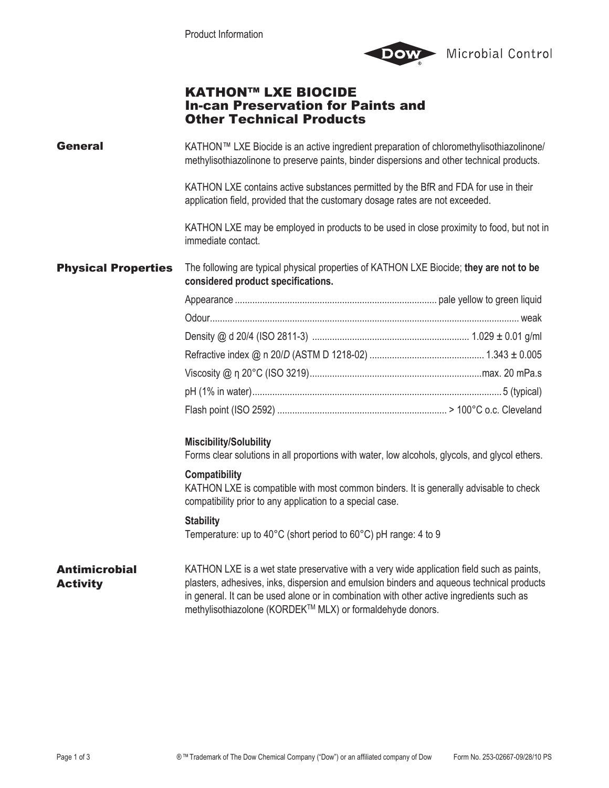

## KATHON™ LXE BIOCIDE In-can Preservation for Paints and Other Technical Products

**General** Physical Properties Antimicrobial **Activity** KATHON™ LXE Biocide is an active ingredient preparation of chloromethylisothiazolinone/ methylisothiazolinone to preserve paints, binder dispersions and other technical products. KATHON LXE contains active substances permitted by the BfR and FDA for use in their application field, provided that the customary dosage rates are not exceeded. KATHON LXE may be employed in products to be used in close proximity to food, but not in immediate contact. The following are typical physical properties of KATHON LXE Biocide; **they are not to be considered product specifications.**  Appearance ................................................................................. pale yellow to green liquid Odour............................................................................................................................ weak Density @ d 20/4 (ISO 2811-3) ............................................................... 1.029 ± 0.01 g/ml Refractive index @ n 20/*D* (ASTM D 1218-02) .............................................. 1.343 ± 0.005 Viscosity @ η 20°C (ISO 3219).....................................................................max. 20 mPa.s pH (1% in water).................................................................................................... 5 (typical) Flash point (ISO 2592) .................................................................... > 100°C o.c. Cleveland **Miscibility/Solubility** Forms clear solutions in all proportions with water, low alcohols, glycols, and glycol ethers. **Compatibility** KATHON LXE is compatible with most common binders. It is generally advisable to check compatibility prior to any application to a special case. **Stability** Temperature: up to 40°C (short period to 60°C) pH range: 4 to 9 KATHON LXE is a wet state preservative with a very wide application field such as paints, plasters, adhesives, inks, dispersion and emulsion binders and aqueous technical products in general. It can be used alone or in combination with other active ingredients such as methylisothiazolone (KORDEK™ MLX) or formaldehyde donors.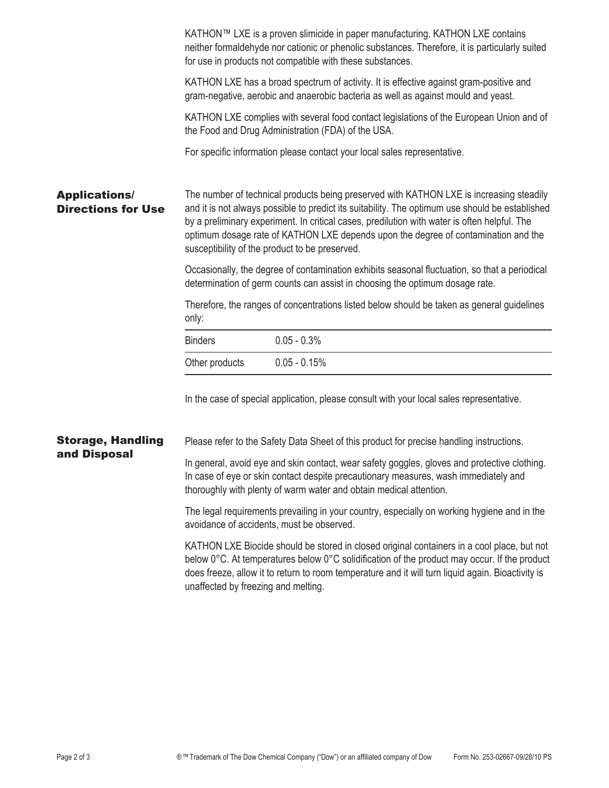|                                                   | KATHON™ LXE is a proven slimicide in paper manufacturing. KATHON LXE contains<br>neither formaldehyde nor cationic or phenolic substances. Therefore, it is particularly suited<br>for use in products not compatible with these substances.                                                                                                                                                                                       |                                                                                          |  |  |
|---------------------------------------------------|------------------------------------------------------------------------------------------------------------------------------------------------------------------------------------------------------------------------------------------------------------------------------------------------------------------------------------------------------------------------------------------------------------------------------------|------------------------------------------------------------------------------------------|--|--|
|                                                   | KATHON LXE has a broad spectrum of activity. It is effective against gram-positive and<br>gram-negative, aerobic and anaerobic bacteria as well as against mould and yeast.                                                                                                                                                                                                                                                        |                                                                                          |  |  |
|                                                   | KATHON LXE complies with several food contact legislations of the European Union and of<br>the Food and Drug Administration (FDA) of the USA.                                                                                                                                                                                                                                                                                      |                                                                                          |  |  |
|                                                   |                                                                                                                                                                                                                                                                                                                                                                                                                                    | For specific information please contact your local sales representative.                 |  |  |
| <b>Applications/</b><br><b>Directions for Use</b> | The number of technical products being preserved with KATHON LXE is increasing steadily<br>and it is not always possible to predict its suitability. The optimum use should be established<br>by a preliminary experiment. In critical cases, predilution with water is often helpful. The<br>optimum dosage rate of KATHON LXE depends upon the degree of contamination and the<br>susceptibility of the product to be preserved. |                                                                                          |  |  |
|                                                   | Occasionally, the degree of contamination exhibits seasonal fluctuation, so that a periodical<br>determination of germ counts can assist in choosing the optimum dosage rate.                                                                                                                                                                                                                                                      |                                                                                          |  |  |
|                                                   | Therefore, the ranges of concentrations listed below should be taken as general guidelines<br>only:                                                                                                                                                                                                                                                                                                                                |                                                                                          |  |  |
|                                                   | <b>Binders</b>                                                                                                                                                                                                                                                                                                                                                                                                                     | $0.05 - 0.3%$                                                                            |  |  |
|                                                   | Other products                                                                                                                                                                                                                                                                                                                                                                                                                     | $0.05 - 0.15%$                                                                           |  |  |
|                                                   |                                                                                                                                                                                                                                                                                                                                                                                                                                    | In the case of special application, please consult with your local sales representative. |  |  |
| <b>Storage, Handling</b><br>and Disposal          | Please refer to the Safety Data Sheet of this product for precise handling instructions.                                                                                                                                                                                                                                                                                                                                           |                                                                                          |  |  |
|                                                   | In general, avoid eye and skin contact, wear safety goggles, gloves and protective clothing.<br>In case of eye or skin contact despite precautionary measures, wash immediately and<br>thoroughly with plenty of warm water and obtain medical attention.                                                                                                                                                                          |                                                                                          |  |  |
|                                                   | The legal requirements prevailing in your country, especially on working hygiene and in the<br>avoidance of accidents, must be observed.                                                                                                                                                                                                                                                                                           |                                                                                          |  |  |
|                                                   | KATHON LXE Biocide should be stored in closed original containers in a cool place, but not<br>below 0°C. At temperatures below 0°C solidification of the product may occur. If the product<br>does freeze, allow it to return to room temperature and it will turn liquid again. Bioactivity is<br>unaffected by freezing and melting.                                                                                             |                                                                                          |  |  |